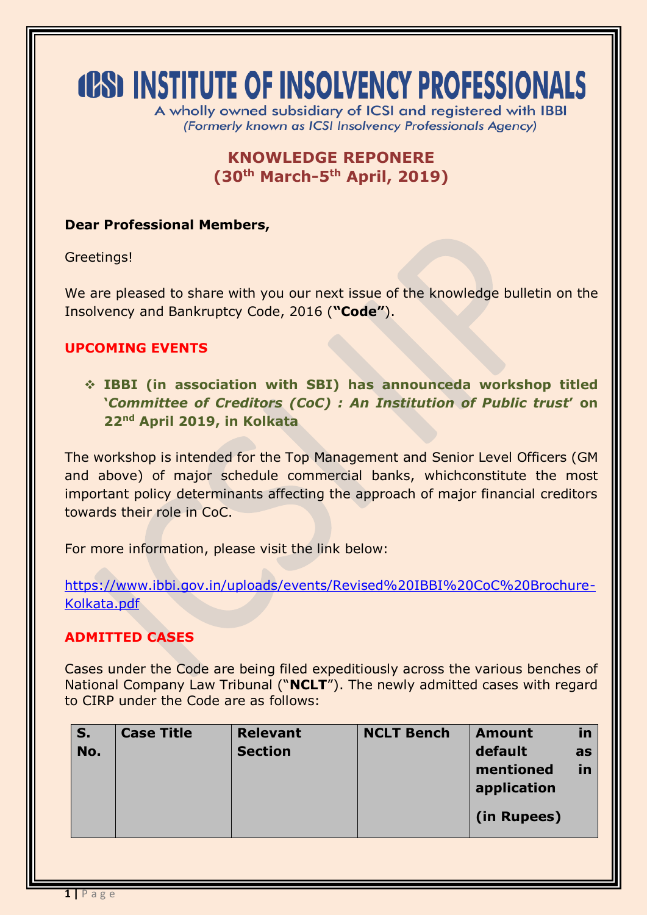# **(CS) INSTITUTE OF INSOLVENCY PROFESSIONALS**

A wholly owned subsidiary of ICSI and registered with IBBI (Formerly known as ICSI Insolvency Professionals Agency)

## **KNOWLEDGE REPONERE (30th March-5 th April, 2019)**

#### **Dear Professional Members,**

Greetings!

We are pleased to share with you our next issue of the knowledge bulletin on the Insolvency and Bankruptcy Code, 2016 (**"Code"**).

#### **UPCOMING EVENTS**

 **IBBI (in association with SBI) has announceda workshop titled '***Committee of Creditors (CoC) : An Institution of Public trust***' on 22nd April 2019, in Kolkata**

The workshop is intended for the Top Management and Senior Level Officers (GM and above) of major schedule commercial banks, whichconstitute the most important policy determinants affecting the approach of major financial creditors towards their role in CoC.

For more information, please visit the link below:

[https://www.ibbi.gov.in/uploads/events/Revised%20IBBI%20CoC%20Brochure-](https://www.ibbi.gov.in/uploads/events/Revised%20IBBI%20CoC%20Brochure-Kolkata.pdf)[Kolkata.pdf](https://www.ibbi.gov.in/uploads/events/Revised%20IBBI%20CoC%20Brochure-Kolkata.pdf)

#### **ADMITTED CASES**

Cases under the Code are being filed expeditiously across the various benches of National Company Law Tribunal ("**NCLT**"). The newly admitted cases with regard to CIRP under the Code are as follows:

| S.<br>No. | <b>Case Title</b> | <b>Relevant</b><br><b>Section</b> | <b>NCLT Bench</b> | <b>Amount</b><br>default<br>mentioned<br>application<br>(in Rupees) | in<br>as<br>in |
|-----------|-------------------|-----------------------------------|-------------------|---------------------------------------------------------------------|----------------|
|           |                   |                                   |                   |                                                                     |                |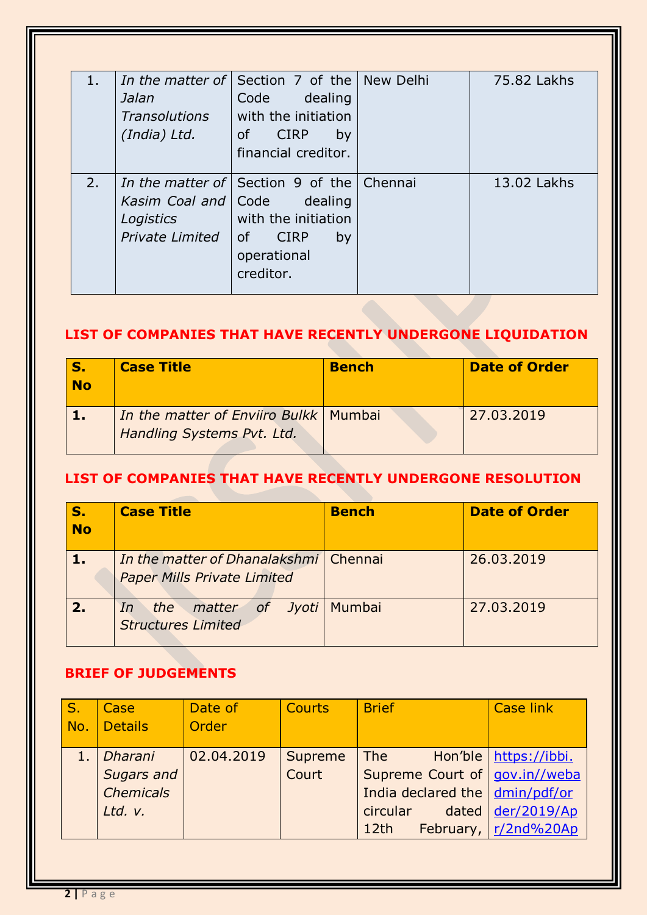| 1. | Jalan<br><b>Transolutions</b><br>(India) Ltd.                | <i>In the matter of</i> Section 7 of the New Delhi<br>dealing<br>Code<br>with the initiation<br>of CIRP<br>by<br>financial creditor. | 75.82 Lakhs |
|----|--------------------------------------------------------------|--------------------------------------------------------------------------------------------------------------------------------------|-------------|
| 2. | Kasim Coal and   Code<br>Logistics<br><b>Private Limited</b> | In the matter of Section 9 of the Chennai<br>dealing<br>with the initiation<br>0f<br><b>CIRP</b><br>by<br>operational<br>creditor.   | 13.02 Lakhs |

# **LIST OF COMPANIES THAT HAVE RECENTLY UNDERGONE LIQUIDATION**

| <b>No</b> | <b>Case Title</b>                                                     | <b>Bench</b> | <b>Date of Order</b> |
|-----------|-----------------------------------------------------------------------|--------------|----------------------|
|           | In the matter of Enviiro Bulkk   Mumbai<br>Handling Systems Pvt. Ltd. |              | 27.03.2019           |

#### **LIST OF COMPANIES THAT HAVE RECENTLY UNDERGONE RESOLUTION**

| <b>No</b> | <b>Case Title</b>                                                           | <b>Bench</b> | <b>Date of Order</b> |
|-----------|-----------------------------------------------------------------------------|--------------|----------------------|
|           | In the matter of Dhanalakshmi Chennai<br><b>Paper Mills Private Limited</b> |              | 26,03,2019           |
|           | <i>of Jyoti</i>   Mumbai<br>the matter<br>In<br><b>Structures Limited</b>   |              | 27.03.2019           |

#### **BRIEF OF JUDGEMENTS**

| S.<br>No. | Case<br><b>Details</b>                               | Date of<br>Order | <b>Courts</b>    | <b>Brief</b>                                                                                   | <b>Case link</b>                                                       |
|-----------|------------------------------------------------------|------------------|------------------|------------------------------------------------------------------------------------------------|------------------------------------------------------------------------|
| 1.        | Dharani<br>Sugars and<br><b>Chemicals</b><br>Ltd. v. | 02.04.2019       | Supreme<br>Court | The<br>Supreme Court of   gov.in//weba<br>India declared the   dmin/pdf/or<br>circular<br>12th | Hon'ble   https://ibbi.<br>dated $der/2019/Ap$<br>February, r/2nd%20Ap |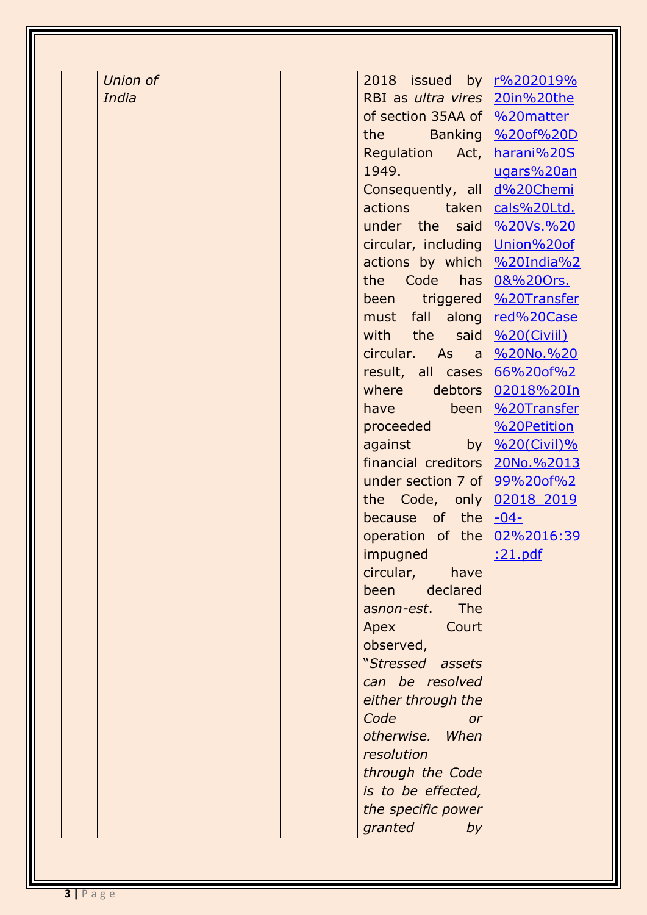| Union of | 2018 issued by r%202019%                                                                                                                                                                                                      |                                          |
|----------|-------------------------------------------------------------------------------------------------------------------------------------------------------------------------------------------------------------------------------|------------------------------------------|
| India    | RBI as ultra vires   20in%20the                                                                                                                                                                                               |                                          |
|          | of section 35AA of   %20matter                                                                                                                                                                                                |                                          |
|          | the the state of the state of the state of the state of the state of the state of the state of the state of the state of the state of the state of the state of the state of the state of the state of the state of the state | <b>Banking   %20of%20D</b>               |
|          | Regulation Act,                                                                                                                                                                                                               | harani%20S                               |
|          | 1949.                                                                                                                                                                                                                         | ugars%20an                               |
|          | Consequently, all                                                                                                                                                                                                             | d%20Chemi                                |
|          | actions<br>taken                                                                                                                                                                                                              | cals%20Ltd.                              |
|          | under the said \%20Vs.%20                                                                                                                                                                                                     |                                          |
|          | circular, including   Union%20of                                                                                                                                                                                              |                                          |
|          | actions by which   %20India%2                                                                                                                                                                                                 |                                          |
|          | Code<br>has <sub>l</sub><br>the                                                                                                                                                                                               | 0&%200rs.                                |
|          | been                                                                                                                                                                                                                          | triggered   %20Transfer                  |
|          | must fall along                                                                                                                                                                                                               | red%20Case                               |
|          | with the said                                                                                                                                                                                                                 | %20(Civii)                               |
|          | circular. As                                                                                                                                                                                                                  | a <u>%20No.%20</u>                       |
|          | result, all cases                                                                                                                                                                                                             | 66%20of%2                                |
|          | where debtors                                                                                                                                                                                                                 | 02018%20In                               |
|          | been  <br>have have                                                                                                                                                                                                           | %20Transfer                              |
|          | proceeded                                                                                                                                                                                                                     | %20Petition                              |
|          | against                                                                                                                                                                                                                       | by $\frac{9}{6}$ 20(Civil) $\frac{9}{6}$ |
|          | financial creditors   20No. %2013                                                                                                                                                                                             |                                          |
|          | under section 7 of $99\%200f\%2$                                                                                                                                                                                              |                                          |
|          | the Code, only                                                                                                                                                                                                                | 02018 2019                               |
|          | because of the $-04$ -                                                                                                                                                                                                        |                                          |
|          | operation of the 02%2016:39                                                                                                                                                                                                   |                                          |
|          | impugned                                                                                                                                                                                                                      | <u>:21.pdf</u>                           |
|          | circular,<br>have                                                                                                                                                                                                             |                                          |
|          | declared<br>been                                                                                                                                                                                                              |                                          |
|          | The<br>asnon-est.                                                                                                                                                                                                             |                                          |
|          | Court<br>Apex                                                                                                                                                                                                                 |                                          |
|          | observed,                                                                                                                                                                                                                     |                                          |
|          | "Stressed assets                                                                                                                                                                                                              |                                          |
|          | can be resolved                                                                                                                                                                                                               |                                          |
|          | either through the                                                                                                                                                                                                            |                                          |
|          | Code<br><b>or</b>                                                                                                                                                                                                             |                                          |
|          | otherwise. When                                                                                                                                                                                                               |                                          |
|          | resolution                                                                                                                                                                                                                    |                                          |
|          | through the Code                                                                                                                                                                                                              |                                          |
|          | is to be effected,                                                                                                                                                                                                            |                                          |
|          | the specific power                                                                                                                                                                                                            |                                          |
|          | granted<br>by                                                                                                                                                                                                                 |                                          |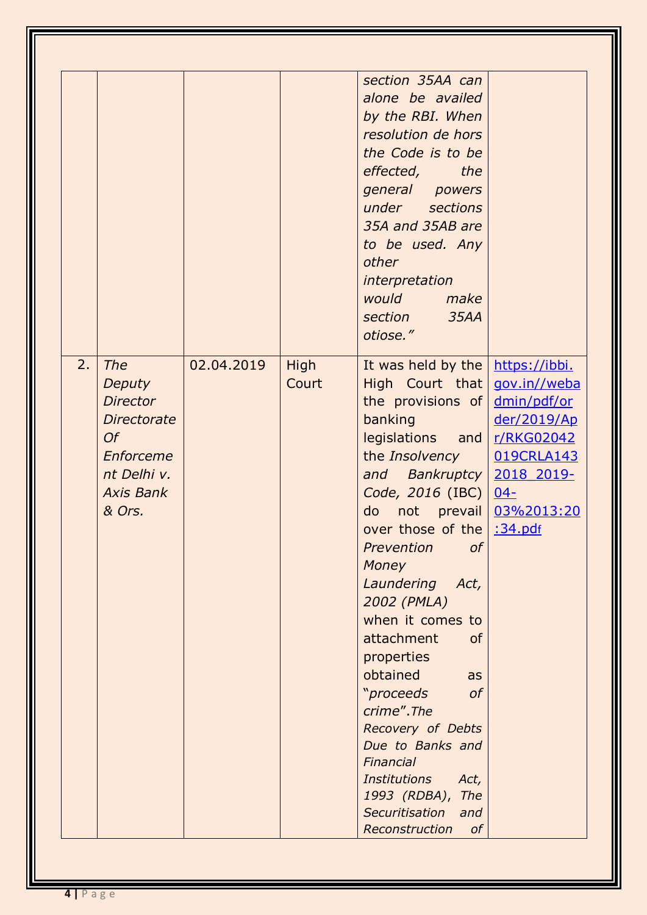|                                                                                   |                                                              |               | section 35AA can<br>alone be availed<br>by the RBI. When<br>resolution de hors<br>the Code is to be<br>effected,<br>the<br>general powers<br>under sections<br>35A and 35AB are<br>to be used. Any<br>other<br>interpretation<br>would<br>make<br>section<br>35AA<br>otiose."                                                                                                                                                                                                                                                                                                           |                                                                                                                                           |
|-----------------------------------------------------------------------------------|--------------------------------------------------------------|---------------|-----------------------------------------------------------------------------------------------------------------------------------------------------------------------------------------------------------------------------------------------------------------------------------------------------------------------------------------------------------------------------------------------------------------------------------------------------------------------------------------------------------------------------------------------------------------------------------------|-------------------------------------------------------------------------------------------------------------------------------------------|
| 2.<br><b>The</b><br>Deputy<br><b>Director</b><br>Of<br><b>Axis Bank</b><br>& Ors. | 02.04.2019<br><b>Directorate</b><br>Enforceme<br>nt Delhi v. | High<br>Court | It was held by the<br>High Court that<br>the provisions of<br>banking<br>legislations<br>and $\vert$<br>the Insolvency<br>and Bankruptcy<br>Code, 2016 (IBC)  <br>do<br>over those of the :34.pdf<br><sub>of</sub><br>Prevention<br><b>Money</b><br>Laundering<br>Act,<br>2002 (PMLA)<br>when it comes to<br>attachment<br><b>of</b><br>properties<br>obtained<br>as<br><i>"proceeds</i><br><sub>of</sub><br>crime".The<br>Recovery of Debts<br>Due to Banks and<br>Financial<br><b>Institutions</b><br>Act,<br>1993 (RDBA), The<br>Securitisation<br>and<br>Reconstruction<br>$\sigma$ | https://ibbi.<br>gov.in//weba<br>dmin/pdf/or<br>der/2019/Ap<br>r/RKG02042<br>019CRLA143<br>2018 2019-<br>$04 -$<br>not prevail 03%2013:20 |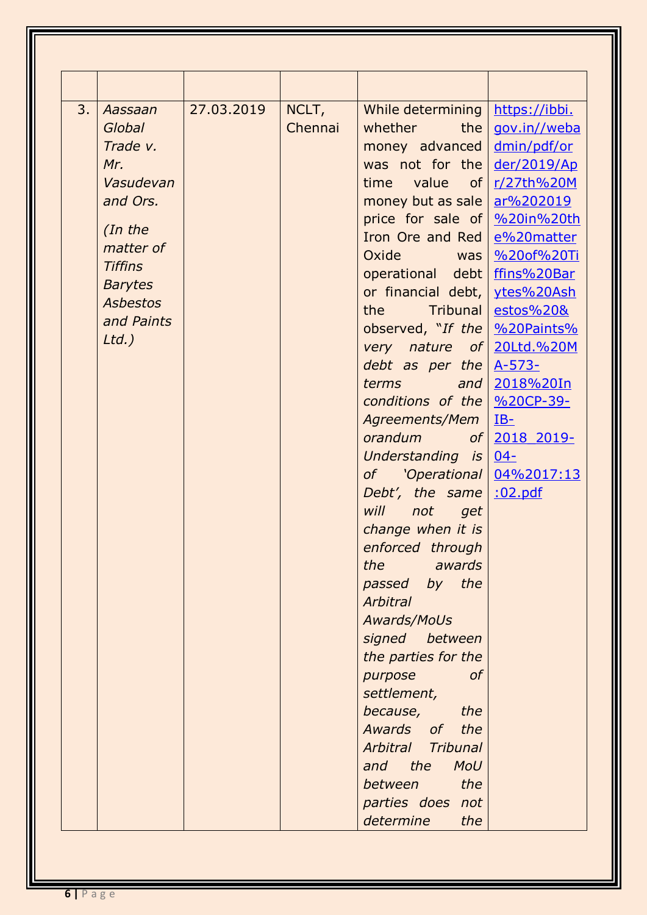|    |                 | 27.03.2019 |                  |                                                                                                                                                                                                                                           |                      |
|----|-----------------|------------|------------------|-------------------------------------------------------------------------------------------------------------------------------------------------------------------------------------------------------------------------------------------|----------------------|
| 3. | Aassaan         |            | NCLT,<br>Chennai | While determining                                                                                                                                                                                                                         | https://ibbi.        |
|    | Global          |            |                  | whether the                                                                                                                                                                                                                               | gov.in//weba         |
|    | Trade v.        |            |                  | money advanced                                                                                                                                                                                                                            | dmin/pdf/or          |
|    | Mr.             |            |                  | was not for the                                                                                                                                                                                                                           | der/2019/Ap          |
|    | Vasudevan       |            |                  | time value of                                                                                                                                                                                                                             | r/27th%20M           |
|    | and Ors.        |            |                  | money but as sale                                                                                                                                                                                                                         | ar%202019            |
|    | (In the         |            |                  | price for sale of                                                                                                                                                                                                                         | %20in%20th           |
|    | matter of       |            |                  | Iron Ore and Red                                                                                                                                                                                                                          | e%20matter           |
|    | <b>Tiffins</b>  |            |                  | Oxide was                                                                                                                                                                                                                                 | %20of%20Ti           |
|    | <b>Barytes</b>  |            |                  | operational debt                                                                                                                                                                                                                          | ffins%20Bar          |
|    | <b>Asbestos</b> |            |                  | or financial debt,                                                                                                                                                                                                                        | ytes%20Ash           |
|    | and Paints      |            |                  | Tribunal<br>the the state of the state of the state of the state of the state of the state of the state of the state of the state of the state of the state of the state of the state of the state of the state of the state of the state | <u>estos%20&amp;</u> |
|    | $Ltd.$ )        |            |                  | observed, "If the                                                                                                                                                                                                                         | %20Paints%           |
|    |                 |            |                  | very nature of 20Ltd.%20M                                                                                                                                                                                                                 |                      |
|    |                 |            |                  | debt as per the                                                                                                                                                                                                                           | $A-573-$             |
|    |                 |            |                  | and<br>terms                                                                                                                                                                                                                              | 2018%20In            |
|    |                 |            |                  | conditions of the                                                                                                                                                                                                                         | %20CP-39-            |
|    |                 |            |                  | Agreements/Mem                                                                                                                                                                                                                            | $IB-$                |
|    |                 |            |                  | orandum of                                                                                                                                                                                                                                | 2018 2019-           |
|    |                 |            |                  | Understanding is                                                                                                                                                                                                                          | $04 -$               |
|    |                 |            |                  | of 'Operational                                                                                                                                                                                                                           | 04%2017:13           |
|    |                 |            |                  | Debt', the same                                                                                                                                                                                                                           | :02.pdf              |
|    |                 |            |                  | will<br>not get                                                                                                                                                                                                                           |                      |
|    |                 |            |                  | change when it is                                                                                                                                                                                                                         |                      |
|    |                 |            |                  | enforced through                                                                                                                                                                                                                          |                      |
|    |                 |            |                  | the<br>awards                                                                                                                                                                                                                             |                      |
|    |                 |            |                  | passed by the                                                                                                                                                                                                                             |                      |
|    |                 |            |                  | <b>Arbitral</b>                                                                                                                                                                                                                           |                      |
|    |                 |            |                  | Awards/MoUs                                                                                                                                                                                                                               |                      |
|    |                 |            |                  | signed between                                                                                                                                                                                                                            |                      |
|    |                 |            |                  | the parties for the                                                                                                                                                                                                                       |                      |
|    |                 |            |                  | <sub>of</sub><br>purpose                                                                                                                                                                                                                  |                      |
|    |                 |            |                  | settlement,                                                                                                                                                                                                                               |                      |
|    |                 |            |                  | because,<br>the                                                                                                                                                                                                                           |                      |
|    |                 |            |                  | Awards of<br>the                                                                                                                                                                                                                          |                      |
|    |                 |            |                  | Arbitral<br><b>Tribunal</b>                                                                                                                                                                                                               |                      |
|    |                 |            |                  | and the<br><b>MoU</b>                                                                                                                                                                                                                     |                      |
|    |                 |            |                  | the<br>between                                                                                                                                                                                                                            |                      |
|    |                 |            |                  | parties does not                                                                                                                                                                                                                          |                      |
|    |                 |            |                  | determine<br>the                                                                                                                                                                                                                          |                      |